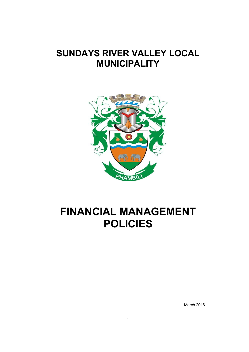# **SUNDAYS RIVER VALLEY LOCAL MUNICIPALITY**



# **FINANCIAL MANAGEMENT POLICIES**

March 2016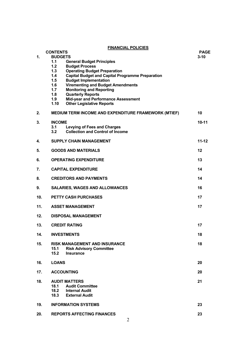**FINANCIAL POLICIES** 

|     | <b>FINANCIAL POLICIES</b>                                                                                                                                                                              |                         |  |
|-----|--------------------------------------------------------------------------------------------------------------------------------------------------------------------------------------------------------|-------------------------|--|
| 1.  | <b>CONTENTS</b><br><b>BUDGETS</b><br>1.1<br><b>General Budget Principles</b><br>1.2<br><b>Budget Process</b>                                                                                           | <b>PAGE</b><br>$3 - 10$ |  |
|     | <b>Operating Budget Preparation</b><br>1.3<br><b>Capital Budget and Capital Programme Preparation</b><br>1.4<br>1.5<br><b>Budget Implementation</b><br><b>Virementing and Budget Amendments</b><br>1.6 |                         |  |
|     | 1.7<br><b>Monitoring and Reporting</b><br>1.8<br><b>Quarterly Reports</b><br>1.9<br>Mid-year and Performance Assessment<br><b>Other Legislative Reports</b><br>1.10                                    |                         |  |
| 2.  | <b>MEDIUM TERM INCOME AND EXPENDITURE FRAMEWORK (MTIEF)</b>                                                                                                                                            | 10                      |  |
| 3.  | <b>INCOME</b><br>3.1<br><b>Levying of Fees and Charges</b><br><b>Collection and Control of Income</b><br>3.2                                                                                           | $10-11$                 |  |
| 4.  | <b>SUPPLY CHAIN MANAGEMENT</b>                                                                                                                                                                         | $11 - 12$               |  |
| 5.  | <b>GOODS AND MATERIALS</b><br>12                                                                                                                                                                       |                         |  |
| 6.  | <b>OPERATING EXPENDITURE</b><br>13                                                                                                                                                                     |                         |  |
| 7.  | <b>CAPITAL EXPENDITURE</b><br>14                                                                                                                                                                       |                         |  |
| 8.  | <b>CREDITORS AND PAYMENTS</b>                                                                                                                                                                          | 14                      |  |
| 9.  | <b>SALARIES, WAGES AND ALLOWANCES</b>                                                                                                                                                                  | 16                      |  |
| 10. | <b>PETTY CASH PURCHASES</b>                                                                                                                                                                            | 17                      |  |
| 11. | 17<br><b>ASSET MANAGEMENT</b>                                                                                                                                                                          |                         |  |
| 12. | <b>DISPOSAL MANAGEMENT</b>                                                                                                                                                                             |                         |  |
| 13. | 17<br><b>CREDIT RATING</b>                                                                                                                                                                             |                         |  |
| 14. | <b>INVESTMENTS</b><br>18                                                                                                                                                                               |                         |  |
| 15. | <b>RISK MANAGEMENT AND INSURANCE</b><br>15.1<br><b>Risk Advisory Committee</b><br>15.2<br><b>Insurance</b>                                                                                             | 18                      |  |
| 16. | <b>LOANS</b>                                                                                                                                                                                           | 20                      |  |
| 17. | <b>ACCOUNTING</b>                                                                                                                                                                                      | 20                      |  |
| 18. | <b>AUDIT MATTERS</b><br>18.1<br><b>Audit Committee</b><br>18.2<br><b>Internal Audit</b><br>18.3<br><b>External Audit</b>                                                                               | 21                      |  |
| 19. | <b>INFORMATION SYSTEMS</b>                                                                                                                                                                             | 23                      |  |
| 20. | <b>REPORTS AFFECTING FINANCES</b><br>$\overline{2}$                                                                                                                                                    | 23                      |  |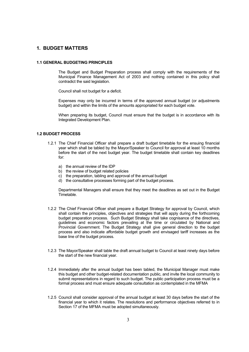# **1. BUDGET MATTERS**

#### **1.1 GENERAL BUDGETING PRINCIPLES**

 The Budget and Budget Preparation process shall comply with the requirements of the Municipal Finance Management Act of 2003 and nothing contained in this policy shall contradict the said legislation.

Council shall not budget for a deficit.

 Expenses may only be incurred in terms of the approved annual budget (or adjustments budget) and within the limits of the amounts appropriated for each budget vote.

 When preparing its budget, Council must ensure that the budget is in accordance with its Integrated Development Plan.

#### **1.2 BUDGET PROCESS**

- 1.2.1 The Chief Financial Officer shall prepare a draft budget timetable for the ensuing financial year which shall be tabled by the Mayor/Speaker to Council for approval at least 10 months before the start of the next budget year. The budget timetable shall contain key deadlines for:
	- a) the annual review of the IDP
	- b) the review of budget related policies
	- c) the preparation, tabling and approval of the annual budget
	- d) the consultative processes forming part of the budget process.

 Departmental Managers shall ensure that they meet the deadlines as set out in the Budget Timetable.

- 1.2.2 The Chief Financial Officer shall prepare a Budget Strategy for approval by Council, which shall contain the principles, objectives and strategies that will apply during the forthcoming budget preparation process. Such Budget Strategy shall take cognisance of the directives, guidelines and economic factors prevailing at the time or circulated by National and Provincial Government. The Budget Strategy shall give general direction to the budget process and also indicate affordable budget growth and envisaged tariff increases as the base line of the budget process.
- 1.2.3 The Mayor/Speaker shall table the draft annual budget to Council at least ninety days before the start of the new financial year.
- 1.2.4 Immediately after the annual budget has been tabled, the Municipal Manager must make this budget and other budget-related documentation public, and invite the local community to submit representations in regard to such budget. The public participation process must be a formal process and must ensure adequate consultation as contemplated in the MFMA
- 1.2.5 Council shall consider approval of the annual budget at least 30 days before the start of the financial year to which it relates. The resolutions and performance objectives referred to in Section 17 of the MFMA must be adopted simultaneously.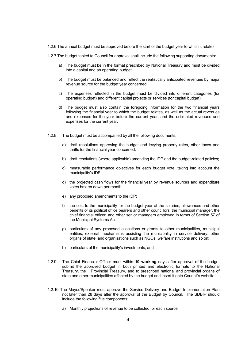1.2.6 The annual budget must be approved before the start of the budget year to which it relates.

- 1.2.7 The budget tabled to Council for approval shall include the following supporting documents:
	- a) The budget must be in the format prescribed by National Treasury and must be divided into a capital and an operating budget.
	- b) The budget must be balanced and reflect the realistically anticipated revenues by major revenue source for the budget year concerned.
	- c) The expenses reflected in the budget must be divided into different categories (for operating budget) and different capital projects or services (for capital budget).
	- d) The budget must also contain the foregoing information for the two financial years following the financial year to which the budget relates, as well as the actual revenues and expenses for the year before the current year, and the estimated revenues and expenses for the current year.
- 1.2.8 The budget must be accompanied by all the following documents:
	- a) draft resolutions approving the budget and levying property rates, other taxes and tariffs for the financial year concerned;
	- b) draft resolutions (where applicable) amending the IDP and the budget-related policies;
	- c) measurable performance objectives for each budget vote, taking into account the municipality's IDP;
	- d) the projected cash flows for the financial year by revenue sources and expenditure votes broken down per month;
	- e) any proposed amendments to the IDP;
	- f) the cost to the municipality for the budget year of the salaries, allowances and other benefits of its political office bearers and other councillors, the municipal manager, the chief financial officer, and other senior managers employed in terms of Section 57 of the Municipal Systems Act;
	- g) particulars of any proposed allocations or grants to other municipalities, municipal entities, external mechanisms assisting the municipality in service delivery, other organs of state, and organisations such as NGOs, welfare institutions and so on;
	- h) particulars of the municipality's investments; and
- 1.2.9 The Chief Financial Officer must within **10 working** days after approval of the budget submit the approved budget in both printed and electronic formats to the National Treasury, the Provincial Treasury, and to prescribed national and provincial organs of state and other municipalities affected by the budget and insert it onto Council's website.
- 1.2.10 The Mayor/Speaker must approve the Service Delivery and Budget Implementation Plan not later than 28 days after the approval of the Budget by Council. The SDBIP should include the following five components:
	- a) Monthly projections of revenue to be collected for each source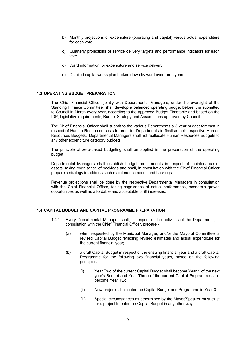- b) Monthly projections of expenditure (operating and capital) versus actual expenditure for each vote
- c) Quarterly projections of service delivery targets and performance indicators for each vote
- d) Ward information for expenditure and service delivery
- e) Detailed capital works plan broken down by ward over three years

## **1.3 OPERATING BUDGET PREPARATION**

The Chief Financial Officer, jointly with Departmental Managers, under the oversight of the Standing Finance Committee, shall develop a balanced operating budget before it is submitted to Council in March every year, according to the approved Budget Timetable and based on the IDP, legislative requirements, Budget Strategy and Assumptions approved by Council.

The Chief Financial Officer shall submit to the various Departments a 3 year budget forecast in respect of Human Resources costs in order for Departments to finalise their respective Human Resources Budgets. Departmental Managers shall not reallocate Human Resources Budgets to any other expenditure category budgets.

The principle of zero-based budgeting shall be applied in the preparation of the operating budget.

Departmental Managers shall establish budget requirements in respect of maintenance of assets, taking cognisance of backlogs and shall, in consultation with the Chief Financial Officer prepare a strategy to address such maintenance needs and backlogs.

Revenue projections shall be done by the respective Departmental Managers in consultation with the Chief Financial Officer, taking cognisance of actual performance, economic growth opportunities as well as affordable and acceptable tariff increases.

#### **1.4 CAPITAL BUDGET AND CAPITAL PROGRAMME PREPARATION**

- 1.4.1 Every Departmental Manager shall, in respect of the activities of the Department, in consultation with the Chief Financial Officer, prepare:-
	- (a) when requested by the Municipal Manager, and/or the Mayoral Committee, a revised Capital Budget reflecting revised estimates and actual expenditure for the current financial year;
	- (b) a draft Capital Budget in respect of the ensuing financial year and a draft Capital Programme for the following two financial years, based on the following principles:-
		- (i) Year Two of the current Capital Budget shall become Year 1 of the next year's Budget and Year Three of the current Capital Programme shall become Year Two
		- (ii) New projects shall enter the Capital Budget and Programme in Year 3.
		- (iii) Special circumstances as determined by the Mayor/Speaker must exist for a project to enter the Capital Budget in any other way.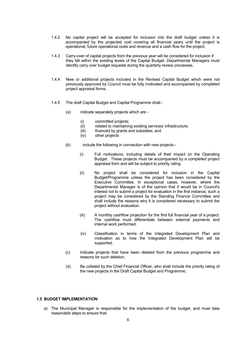- 1.4.2 No capital project will be accepted for inclusion into the draft budget unless it is accompanied by the projected cost covering all financial years until the project is operational, future operational costs and revenue and a cash flow for the project.
- 1.4.3 Carry-over of capital projects from the previous year will be considered for inclusion if they fall within the existing levels of the Capital Budget. Departmental Managers must identify carry over budget requests during the quarterly review processes.
- 1.4.4 New or additional projects included in the Revised Capital Budget which were not previously approved by Council must be fully motivated and accompanied by completed project appraisal forms.
- 1.4.5 The draft Capital Budget and Capital Programme shall:-
	- (a) indicate separately projects which are
		- (i) committed projects;
		- (ii) related to maintaining existing services/ infrastructure;
		- (iii) financed by grants and subsidies; and
		- (iv) other projects
	- (b) include the following in connection with new projects:-
		- (i) Full motivations, including details of their impact on the Operating Budget. These projects must be accompanied by a completed project appraisal form and will be subject to priority rating.
		- (ii) No project shall be considered for inclusion in the Capital Budget/Programme unless the project has been considered by the Executive Committee. In exceptional cases, however, where the Departmental Manager is of the opinion that it would be in Council's interest not to submit a project for evaluation in the first instance, such a project may be considered by the Standing Finance Committee and shall include the reasons why it is considered necessary to submit the project without evaluation.
		- (iii) A monthly cashflow projection for the first full financial year of a project. The cashflow must differentiate between external payments and internal work performed.
		- (iv) Classification in terms of the Integrated Development Plan and motivation as to how the Integrated Development Plan will be supported.
	- (c) Indicate projects that have been deleted from the previous programme and reasons for such deletion;
	- (d) Be collated by the Chief Financial Officer, who shall include the priority rating of the new projects in the Draft Capital Budget and Programme;

## **1.5 BUDGET IMPLEMENTATION**

a) The Municipal Manager is responsible for the implementation of the budget, and must take reasonable steps to ensure that: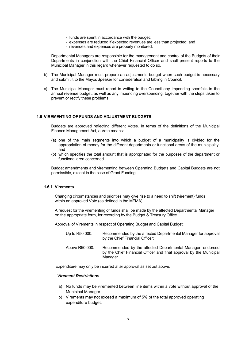- funds are spent in accordance with the budget;
- expenses are reduced if expected revenues are less than projected; and
- revenues and expenses are properly monitored.

Departmental Managers are responsible for the management and control of the Budgets of their Departments in conjunction with the Chief Financial Officer and shall present reports to the Municipal Manager in this regard whenever requested to do so.

- b) The Municipal Manager must prepare an adjustments budget when such budget is necessary and submit it to the Mayor/Speaker for consideration and tabling in Council.
- c) The Municipal Manager must report in writing to the Council any impending shortfalls in the annual revenue budget, as well as any impending overspending, together with the steps taken to prevent or rectify these problems.

#### **1.6 VIREMENTING OF FUNDS AND ADJUSTMENT BUDGETS**

Budgets are approved reflecting different Votes. In terms of the definitions of the Municipal Finance Management Act, a Vote means:

- (a) one of the main segments into which a budget of a municipality is divided for the appropriation of money for the different departments or functional areas of the municipality; and
- (b) which specifies the total amount that is appropriated for the purposes of the department or functional area concerned.

Budget amendments and virementing between Operating Budgets and Capital Budgets are not permissible, except in the case of Grant Funding.

## **1.6.1 Virements**

Changing circumstances and priorities may give rise to a need to shift (virement) funds within an approved Vote (as defined in the MFMA).

A request for the virementing of funds shall be made by the affected Departmental Manager on the appropriate form, for recording by the Budget & Treasury Office.

Approval of Virements in respect of Operating Budget and Capital Budget:

| Up to R50 000: | Recommended by the affected Departmental Manager for approval<br>by the Chief Financial Officer;                                             |
|----------------|----------------------------------------------------------------------------------------------------------------------------------------------|
| Above R50 000: | Recommended by the affected Departmental Manager, endorsed<br>by the Chief Financial Officer and final approval by the Municipal<br>Manager. |

Expenditure may only be incurred after approval as set out above.

#### *Virement Restrictions*

- a) No funds may be viremented between line items within a vote without approval of the Municipal Manager.
- b) Virements may not exceed a maximum of 5% of the total approved operating expenditure budget.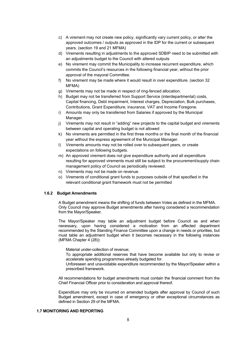- c) A virement may not create new policy, significantly vary current policy, or alter the approved outcomes / outputs as approved in the IDP for the current or subsequent years. (section 19 and 21 MFMA)
- d) Virements resulting in adjustments to the approved SDBIP need to be submitted with an adjustments budget to the Council with altered outputs
- e) No virement may commit the Municipality to increase recurrent expenditure, which commits the Council's resources in the following financial year, without the prior approval of the mayoral Committee.
- f) No virement may be made where it would result in over expenditure. (section 32 MFMA)
- g) Virements may not be made in respect of ring-fenced allocation.
- h) Budget may not be transferred from Support Service (interdepartmental) costs, Capital financing, Debt impairment, Interest charges, Depreciation, Bulk purchases, Contributions, Grant Expenditure; insurance, VAT and Income Foregone.
- i) Amounts may only be transferred from Salaries if approved by the Municipal Manager.
- j) Virements may not result in "adding" new projects to the capital budget and virements between capital and operating budget is not allowed
- k) No virements are permitted in the first three months or the final month of the financial year without the express agreement of the Municipal Manager.
- l) Virements amounts may not be rolled over to subsequent years, or create expectations on following budgets.
- m) An approved virement does not give expenditure authority and all expenditure resulting for approved virements must still be subject to the procurement/supply chain management policy of Council as periodically reviewed.
- n) Virements may not be made on revenue.
- o) Virements of conditional grant funds to purposes outside of that specified in the relevant conditional grant framework must not be permitted

#### **1.6.2 Budget Amendments**

A Budget amendment means the shifting of funds between Votes as defined in the MFMA. Only Council may approve Budget amendments after having considered a recommendation from the Mayor/Speaker.

The Mayor/Speaker may table an adjustment budget before Council as and when necessary, upon having considered a motivation from an affected department recommended by the Standing Finance Committee upon a change in needs or priorities, but must table an adjustment budget when it becomes necessary in the following instances (MFMA Chapter 4 (28)):

Material under-collection of revenue;

 To appropriate additional reserves that have become available but only to revise or accelerate spending programmes already budgeted for.

 Unforeseen and unavoidable expenditure recommended by the Mayor/Speaker within a prescribed framework.

All recommendations for budget amendments must contain the financial comment from the Chief Financial Officer prior to consideration and approval thereof.

Expenditure may only be incurred on amended budgets after approval by Council of such Budget amendment, except in case of emergency or other exceptional circumstances as defined in Section 29 of the MFMA.

#### **1.7 MONITORING AND REPORTING**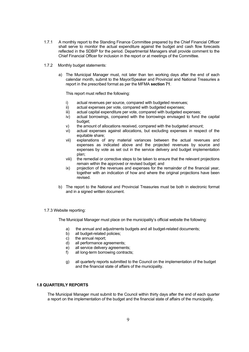- 1.7.1 A monthly report to the Standing Finance Committee prepared by the Chief Financial Officer shall serve to monitor the actual expenditure against the budget and cash flow forecasts reflected in the SDBIP for the period. Departmental Managers shall provide comment to the Chief Financial Officer for inclusion in the report or at meetings of the Committee.
- 1.7.2 Monthly budget statements:
	- a) The Municipal Manager must, not later than ten working days after the end of each calendar month, submit to the Mayor/Speaker and Provincial and National Treasuries a report in the prescribed format as per the MFMA **section 71**.

This report must reflect the following:

- i) actual revenues per source, compared with budgeted revenues;
- ii) actual expenses per vote, compared with budgeted expenses;
- iii) actual capital expenditure per vote, compared with budgeted expenses;
- iv) actual borrowings, compared with the borrowings envisaged to fund the capital budget;
- v) the amount of allocations received, compared with the budgeted amount;
- vi) actual expenses against allocations, but excluding expenses in respect of the equitable share;
- vii) explanations of any material variances between the actual revenues and expenses as indicated above and the projected revenues by source and expenses by vote as set out in the service delivery and budget implementation plan;
- viii) the remedial or corrective steps to be taken to ensure that the relevant projections remain within the approved or revised budget; and
- ix) projection of the revenues and expenses for the remainder of the financial year, together with an indication of how and where the original projections have been revised.
- b) The report to the National and Provincial Treasuries must be both in electronic format and in a signed written document.
- 1.7.3 Website reporting:

The Municipal Manager must place on the municipality's official website the following:

- a) the annual and adjustments budgets and all budget-related documents;
- b) all budget-related policies;
- c) the annual report;
- d) all performance agreements;
- e) all service delivery agreements;
- f) all long-term borrowing contracts;
- g) all quarterly reports submitted to the Council on the implementation of the budget and the financial state of affairs of the municipality.

#### **1.8 QUARTERLY REPORTS**

The Municipal Manager must submit to the Council within thirty days after the end of each quarter a report on the implementation of the budget and the financial state of affairs of the municipality.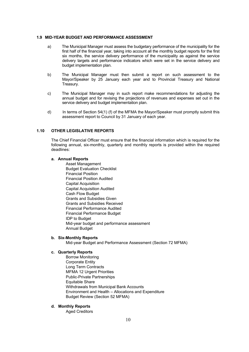#### **1.9 MID-YEAR BUDGET AND PERFORMANCE ASSESSMENT**

- a) The Municipal Manager must assess the budgetary performance of the municipality for the first half of the financial year, taking into account all the monthly budget reports for the first six months, the service delivery performance of the municipality as against the service delivery targets and performance indicators which were set in the service delivery and budget implementation plan.
- b) The Municipal Manager must then submit a report on such assessment to the Mayor/Speaker by 25 January each year and to Provincial Treasury and National Treasury.
- c) The Municipal Manager may in such report make recommendations for adjusting the annual budget and for revising the projections of revenues and expenses set out in the service delivery and budget implementation plan.
- d) In terms of Section 54(1) (f) of the MFMA the Mayor/Speaker must promptly submit this assessment report to Council by 31 January of each year.

## **1.10 OTHER LEGISLATIVE REPORTS**

The Chief Financial Officer must ensure that the financial information which is required for the following annual, six-monthly, quarterly and monthly reports is provided within the required deadlines:

## **a. Annual Reports**

 Asset Management Budget Evaluation Checklist Financial Position Financial Position Audited Capital Acquisition Capital Acquisition Audited Cash Flow Budget Grants and Subsidies Given Grants and Subsidies Received Financial Performance Audited Financial Performance Budget IDP to Budget Mid-year budget and performance assessment Annual Budget

#### **b. Six-Monthly Reports**

Mid-year Budget and Performance Assessment (Section 72 MFMA)

#### **c. Quarterly Reports**

 Borrow Monitoring Corporate Entity Long Term Contracts MFMA 12 Urgent Priorities Public-Private Partnerships Equitable Share Withdrawals from Municipal Bank Accounts Environment and Health – Allocations and Expenditure Budget Review (Section 52 MFMA)

#### **d. Monthly Reports**

Aged Creditors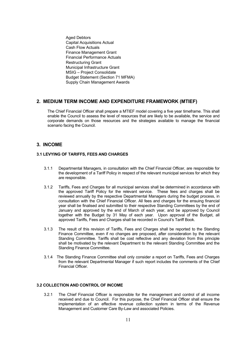Aged Debtors Capital Acquisitions Actual Cash Flow Actuals Finance Management Grant Financial Performance Actuals Restructuring Grant Municipal Infrastructure Grant MSIG – Project Consolidate Budget Statement (Section 71 MFMA) Supply Chain Management Awards

# **2. MEDIUM TERM INCOME AND EXPENDITURE FRAMEWORK (MTIEF)**

The Chief Financial Officer shall prepare a MTIEF model covering a five year timeframe. This shall enable the Council to assess the level of resources that are likely to be available, the service and corporate demands on those resources and the strategies available to manage the financial scenario facing the Council.

# **3. INCOME**

## **3.1 LEVYING OF TARIFFS, FEES AND CHARGES**

- 3.1.1 Departmental Managers, in consultation with the Chief Financial Officer, are responsible for the development of a Tariff Policy in respect of the relevant municipal services for which they are responsible.
- 3.1.2 Tariffs, Fees and Charges for all municipal services shall be determined in accordance with the approved Tariff Policy for the relevant service. These fees and charges shall be reviewed annually by the respective Departmental Managers during the budget process, in consultation with the Chief Financial Officer. All fees and charges for the ensuing financial year shall be finalised and submitted to their respective Standing Committees by the end of January and approved by the end of March of each year, and be approved by Council together with the Budget by 31 May of each year. Upon approval of the Budget, all approved Tariffs, Fees and Charges shall be recorded in Council's Tariff Book.
- 3.1.3 The result of this revision of Tariffs, Fees and Charges shall be reported to the Standing Finance Committee, even if no changes are proposed, after consideration by the relevant Standing Committee. Tariffs shall be cost reflective and any deviation from this principle shall be motivated by the relevant Department to the relevant Standing Committee and the Standing Finance Committee.
- 3.1.4 The Standing Finance Committee shall only consider a report on Tariffs, Fees and Charges from the relevant Departmental Manager if such report includes the comments of the Chief Financial Officer.

## **3.2 COLLECTION AND CONTROL OF INCOME**

3.2.1 The Chief Financial Officer is responsible for the management and control of all income received and due to Council. For this purpose, the Chief Financial Officer shall ensure the implementation of an effective revenue collection system in terms of the Revenue Management and Customer Care By-Law and associated Policies.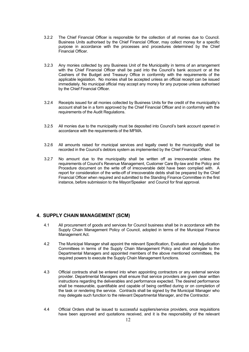- 3.2.2 The Chief Financial Officer is responsible for the collection of all monies due to Council. Business Units authorised by the Chief Financial Officer, may collect money for a specific purpose in accordance with the processes and procedures determined by the Chief Financial Officer.
- 3.2.3 Any monies collected by any Business Unit of the Municipality in terms of an arrangement with the Chief Financial Officer shall be paid into the Council's bank account or at the Cashiers of the Budget and Treasury Office in conformity with the requirements of the applicable legislation. No monies shall be accepted unless an official receipt can be issued immediately. No municipal official may accept any money for any purpose unless authorised by the Chief Financial Officer.
- 3.2.4 Receipts issued for all monies collected by Business Units for the credit of the municipality's account shall be in a form approved by the Chief Financial Officer and in conformity with the requirements of the Audit Regulations.
- 3.2.5 All monies due to the municipality must be deposited into Council's bank account opened in accordance with the requirements of the MFMA.
- 3.2.6 All amounts raised for municipal services and legally owed to the municipality shall be recorded in the Council's debtors system as implemented by the Chief Financial Officer.
- 3.2.7 No amount due to the municipality shall be written off as irrecoverable unless the requirements of Council's Revenue Management, Customer Care By-law and the Policy and Procedure document on the write off of irrecoverable debt have been complied with. A report for consideration of the write-off of irrecoverable debts shall be prepared by the Chief Financial Officer when required and submitted to the Standing Finance Committee in the first instance, before submission to the Mayor/Speaker and Council for final approval.

# **4. SUPPLY CHAIN MANAGEMENT (SCM)**

- 4.1 All procurement of goods and services for Council business shall be in accordance with the Supply Chain Management Policy of Council, adopted in terms of the Municipal Finance Management Act.
- 4.2 The Municipal Manager shall appoint the relevant Specification, Evaluation and Adjudication Committees in terms of the Supply Chain Management Policy and shall delegate to the Departmental Managers and appointed members of the above mentioned committees, the required powers to execute the Supply Chain Management functions.
- 4.3 Official contracts shall be entered into when appointing contractors or any external service provider. Departmental Managers shall ensure that service providers are given clear written instructions regarding the deliverables and performance expected. The desired performance shall be measurable, quantifiable and capable of being certified during or on completion of the task or rendering the service. Contracts shall be signed by the Municipal Manager who may delegate such function to the relevant Departmental Manager, and the Contractor.
- 4.4 Official Orders shall be issued to successful suppliers/service providers, once requisitions have been approved and quotations received, and it is the responsibility of the relevant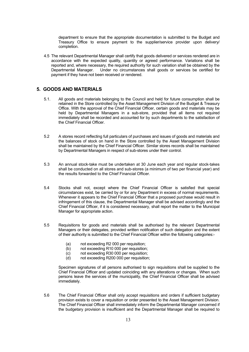department to ensure that the appropriate documentation is submitted to the Budget and Treasury Office to ensure payment to the supplier/service provider upon delivery/ completion.

4.5 The relevant Departmental Manager shall certify that goods delivered or services rendered are in accordance with the expected quality, quantity or agreed performance. Variations shall be reported and, where necessary, the required authority for such variation shall be obtained by the Departmental Manager. Under no circumstances shall goods or services be certified for payment if they have not been received or rendered.

# **5. GOODS AND MATERIALS**

- 5.1. All goods and materials belonging to the Council and held for future consumption shall be retained in the Store controlled by the Asset Management Division of the Budget & Treasury Office. With the approval of the Chief Financial Officer, certain goods and materials may be held by Departmental Managers in a sub-store, provided that all items not required immediately shall be recorded and accounted for by such departments to the satisfaction of the Chief Financial Officer.
- 5.2 A stores record reflecting full particulars of purchases and issues of goods and materials and the balances of stock on hand in the Store controlled by the Asset Management Division shall be maintained by the Chief Financial Officer. Similar stores records shall be maintained by Departmental Managers in respect of sub-stores under their control.
- 5.3 An annual stock-take must be undertaken at 30 June each year and regular stock-takes shall be conducted on all stores and sub-stores (a minimum of two per financial year) and the results forwarded to the Chief Financial Officer.
- 5.4 Stocks shall not, except where the Chief Financial Officer is satisfied that special circumstances exist, be carried by or for any Department in excess of normal requirements. Whenever it appears to the Chief Financial Officer that a proposed purchase would result in infringement of this clause, the Departmental Manager shall be advised accordingly and the Chief Financial Officer, if it is considered necessary, shall report the matter to the Municipal Manager for appropriate action.
- 5.5 Requisitions for goods and materials shall be authorised by the relevant Departmental Managers or their delegates, provided written notification of such delegation and the extent of their authority is submitted to the Chief Financial Officer within the following categories:-
	- (a) not exceeding R2 000 per requisition;
	- (b) not exceeding R10 000 per requisition;
	- (c) not exceeding R30 000 per requisition;
	- (d) not exceeding R200 000 per requisition;

 Specimen signatures of all persons authorised to sign requisitions shall be supplied to the Chief Financial Officer and updated coinciding with any alterations or changes. When such persons leave the services of the municipality, the Chief Financial Officer shall be advised immediately.

5.6 The Chief Financial Officer shall only accept requisitions and orders if sufficient budgetary provision exists to cover a requisition or order presented to the Asset Management Division. The Chief Financial Officer shall immediately inform the Departmental Manager concerned if the budgetary provision is insufficient and the Departmental Manager shall be required to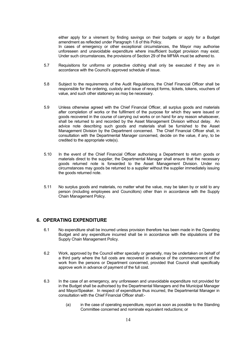either apply for a virement by finding savings on their budgets or apply for a Budget amendment as reflected under Paragraph 1.6 of this Policy.

In cases of emergency or other exceptional circumstances, the Mayor may authorise unforeseen and unavoidable expenditure where insufficient budget provision may exist. Under such circumstances, the provisions of Section 29 of the MFMA must be adhered to.

- 5.7 Requisitions for uniforms or protective clothing shall only be executed if they are in accordance with the Council's approved schedule of issue.
- 5.8 Subject to the requirements of the Audit Regulations, the Chief Financial Officer shall be responsible for the ordering, custody and issue of receipt forms, tickets, tokens, vouchers of value, and such other stationery as may be necessary.
- 5.9 Unless otherwise agreed with the Chief Financial Officer, all surplus goods and materials after completion of works or the fulfilment of the purpose for which they were issued or goods recovered in the course of carrying out works or on hand for any reason whatsoever, shall be returned to and recorded by the Asset Management Division without delay. An advice note describing such goods and materials shall be furnished to the Asset Management Division by the Department concerned. The Chief Financial Officer shall, in consultation with the Departmental Manager concerned, decide on the value, if any, to be credited to the appropriate vote(s).
- 5.10 In the event of the Chief Financial Officer authorising a Department to return goods or materials direct to the supplier, the Departmental Manager shall ensure that the necessary goods returned note is forwarded to the Asset Management Division. Under no circumstances may goods be returned to a supplier without the supplier immediately issuing the goods returned note.
- 5.11 No surplus goods and materials, no matter what the value, may be taken by or sold to any person (including employees and Councillors) other than in accordance with the Supply Chain Management Policy.

# **6. OPERATING EXPENDITURE**

- 6.1 No expenditure shall be incurred unless provision therefore has been made in the Operating Budget and any expenditure incurred shall be in accordance with the stipulations of the Supply Chain Management Policy.
- 6.2 Work, approved by the Council either specially or generally, may be undertaken on behalf of a third party where the full costs are recovered in advance of the commencement of the work from the persons or Department concerned, provided that Council shall specifically approve work in advance of payment of the full cost.
- 6.3 In the case of an emergency, any unforeseen and unavoidable expenditure not provided for in the Budget shall be authorised by the Departmental Managers and the Municipal Manager and Mayor/Speaker. In respect of expenditure thus incurred, the Departmental Manager in consultation with the Chief Financial Officer shall:-
	- (a) in the case of operating expenditure, report as soon as possible to the Standing Committee concerned and nominate equivalent reductions; or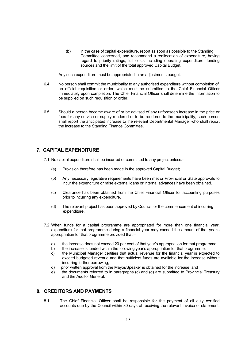(b) in the case of capital expenditure, report as soon as possible to the Standing Committee concerned, and recommend a reallocation of expenditure, having regard to priority ratings, full costs including operating expenditure, funding sources and the limit of the total approved Capital Budget.

Any such expenditure must be appropriated in an adjustments budget.

- 6.4 No person shall commit the municipality to any authorised expenditure without completion of an official requisition or order, which must be submitted to the Chief Financial Officer immediately upon completion. The Chief Financial Officer shall determine the information to be supplied on such requisition or order.
- 6.5 Should a person become aware of or be advised of any unforeseen increase in the price or fees for any service or supply rendered or to be rendered to the municipality, such person shall report the anticipated increase to the relevant Departmental Manager who shall report the increase to the Standing Finance Committee.

# **7. CAPITAL EXPENDITURE**

- 7.1 No capital expenditure shall be incurred or committed to any project unless:-
	- (a) Provision therefore has been made in the approved Capital Budget;
	- (b) Any necessary legislative requirements have been met or Provincial or State approvals to incur the expenditure or raise external loans or internal advances have been obtained.
	- (c) Clearance has been obtained from the Chief Financial Officer for accounting purposes prior to incurring any expenditure.
	- (d) The relevant project has been approved by Council for the commencement of incurring expenditure.
- 7.2 When funds for a capital programme are appropriated for more than one financial year, expenditure for that programme during a financial year may exceed the amount of that year's appropriation for that programme provided that –
	- a) the increase does not exceed 20 per cent of that year's appropriation for that programme;
	- b) the increase is funded within the following year's appropriation for that programme;
	- c) the Municipal Manager certifies that actual revenue for the financial year is expected to exceed budgeted revenue and that sufficient funds are available for the increase without incurring further borrowing;
	- d) prior written approval from the Mayor/Speaker is obtained for the increase, and
	- e) the documents referred to in paragraphs (c) and (d) are submitted to Provincial Treasury and the Auditor General.

# **8. CREDITORS AND PAYMENTS**

8.1 The Chief Financial Officer shall be responsible for the payment of all duly certified accounts due by the Council within 30 days of receiving the relevant invoice or statement,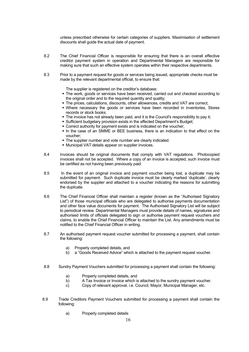unless prescribed otherwise for certain categories of suppliers. Maximisation of settlement discounts shall guide the actual date of payment.

- 8.2 The Chief Financial Officer is responsible for ensuring that there is an overall effective creditor payment system in operation and Departmental Managers are responsible for making sure that such an effective system operates within their respective departments.
- 8.3 Prior to a payment request for goods or services being issued, appropriate checks must be made by the relevant departmental official, to ensure that:

The supplier is registered on the creditor's database;

- The work, goods or services have been received, carried out and checked according to the original order and to the required quantity and quality;
- The prices, calculations, discounts, other allowances, credits and VAT are correct;
- Where necessary the goods or services have been recorded in inventories, Stores records or stock books;
- The invoice has not already been paid, and it is the Council's responsibility to pay it;
- Sufficient budgetary provision exists in the affected Department's Budget;
- Correct authority for payment exists and is indicated on the voucher;
- In the case of an SMME or BEE business, there is an indication to that effect on the voucher;
- The supplier number and vote number are clearly indicated.
- Municipal VAT details appear on supplier invoices.
- 8.4 Invoices should be original documents that comply with VAT regulations. Photocopied invoices shall not be accepted. Where a copy of an invoice is accepted, such invoice must be certified as not having been previously paid.
- 8.5 In the event of an original invoice and payment voucher being lost, a duplicate may be submitted for payment. Such duplicate invoice must be clearly marked 'duplicate', clearly endorsed by the supplier and attached to a voucher indicating the reasons for submitting the duplicate.
- 8.6 The Chief Financial Officer shall maintain a register (known as the "Authorised Signatory List") of those municipal officials who are delegated to authorise payments documentation and other face value documents for payment. The Authorised Signatory List will be subject to periodical review. Departmental Managers must provide details of names, signatures and authorised limits of officials delegated to sign or authorise payment request vouchers and claims, to enable the Chief Financial Officer to maintain the List. Any amendments must be notified to the Chief Financial Officer in writing.
- 8.7 An authorised payment request voucher submitted for processing a payment, shall contain the following:
	- a) Properly completed details, and
	- b) a "Goods Received Advice" which is attached to the payment request voucher.
- 8.8 Sundry Payment Vouchers submitted for processing a payment shall contain the following:
	- a) Properly completed details, and
	- b) A Tax Invoice or Invoice which is attached to the sundry payment voucher.
	- c) Copy of relevant approval, i.e. Council, Mayor, Municipal Manager, etc.
- 8.9 Trade Creditors Payment Vouchers submitted for processing a payment shall contain the following:
	- a) Properly completed details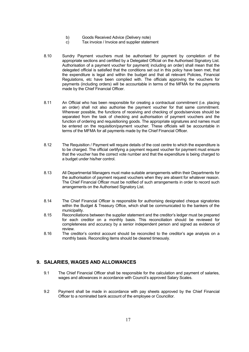- b) Goods Received Advice (Delivery note)
- c) Tax invoice / Invoice and supplier statement
- 8.10 Sundry Payment vouchers must be authorised for payment by completion of the appropriate sections and certified by a Delegated Official on the Authorised Signatory List. Authorisation of a payment voucher for payment( including an order) shall mean that the delegated official is satisfied that the conditions set out in this policy have been met, that the expenditure is legal and within the budget and that all relevant Policies, Financial Regulations, etc have been complied with. The officials approving the vouchers for payments (including orders) will be accountable in terms of the MFMA for the payments made by the Chief Financial Officer.
- 8.11 An Official who has been responsible for creating a contractual commitment (i.e. placing an order) shall not also authorise the payment voucher for that same commitment. Wherever possible, the functions of receiving and checking of goods/services should be separated from the task of checking and authorisation of payment vouchers and the function of ordering and requisitioning goods. The appropriate signatures and names must be entered on the requisition/payment voucher. These officials will be accountable in terms of the MFMA for all payments made by the Chief Financial Officer.
- 8.12 The Requisition / Payment will require details of the cost centre to which the expenditure is to be charged. The official certifying a payment request voucher for payment must ensure that the voucher has the correct vote number and that the expenditure is being charged to a budget under his/her control.
- 8.13 All Departmental Managers must make suitable arrangements within their Departments for the authorisation of payment request vouchers when they are absent for whatever reason. The Chief Financial Officer must be notified of such arrangements in order to record such arrangements on the Authorised Signatory List.
- 8.14 The Chief Financial Officer is responsible for authorising designated cheque signatories within the Budget & Treasury Office, which shall be communicated to the bankers of the municipality.
- 8.15 Reconciliations between the supplier statement and the creditor's ledger must be prepared for each creditor on a monthly basis. This reconciliation should be reviewed for completeness and accuracy by a senior independent person and signed as evidence of review.
- 8.16 The creditor's control account should be reconciled to the creditor's age analysis on a monthly basis. Reconciling items should be cleared timeously.

# **9. SALARIES, WAGES AND ALLOWANCES**

- 9.1 The Chief Financial Officer shall be responsible for the calculation and payment of salaries, wages and allowances in accordance with Council's approved Salary Scales.
- 9.2 Payment shall be made in accordance with pay sheets approved by the Chief Financial Officer to a nominated bank account of the employee or Councillor.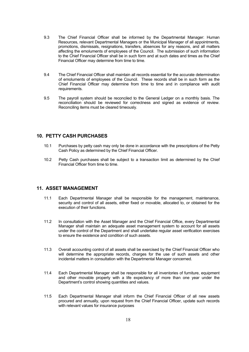- 9.3 The Chief Financial Officer shall be informed by the Departmental Manager: Human Resources, relevant Departmental Managers or the Municipal Manager of all appointments, promotions, dismissals, resignations, transfers, absences for any reasons, and all matters affecting the emoluments of employees of the Council. The submission of such information to the Chief Financial Officer shall be in such form and at such dates and times as the Chief Financial Officer may determine from time to time.
- 9.4 The Chief Financial Officer shall maintain all records essential for the accurate determination of emoluments of employees of the Council. These records shall be in such form as the Chief Financial Officer may determine from time to time and in compliance with audit requirements.
- 9.5 The payroll system should be reconciled to the General Ledger on a monthly basis. The reconciliation should be reviewed for correctness and signed as evidence of review. Reconciling items must be cleared timeously.

# **10. PETTY CASH PURCHASES**

- 10.1 Purchases by petty cash may only be done in accordance with the prescriptions of the Petty Cash Policy as determined by the Chief Financial Officer.
- 10.2 Petty Cash purchases shall be subject to a transaction limit as determined by the Chief Financial Officer from time to time.

# **11. ASSET MANAGEMENT**

- 11.1 Each Departmental Manager shall be responsible for the management, maintenance, security and control of all assets, either fixed or movable, allocated to, or obtained for the execution of their functions.
- 11.2 In consultation with the Asset Manager and the Chief Financial Office, every Departmental Manager shall maintain an adequate asset management system to account for all assets under the control of the Department and shall undertake regular asset verification exercises to ensure the existence and condition of such assets.
- 11.3 Overall accounting control of all assets shall be exercised by the Chief Financial Officer who will determine the appropriate records, charges for the use of such assets and other incidental matters in consultation with the Departmental Manager concerned.
- 11.4 Each Departmental Manager shall be responsible for all inventories of furniture, equipment and other movable property with a life expectancy of more than one year under the Department's control showing quantities and values.
- 11.5 Each Departmental Manager shall inform the Chief Financial Officer of all new assets procured and annually, upon request from the Chief Financial Officer, update such records with relevant values for insurance purposes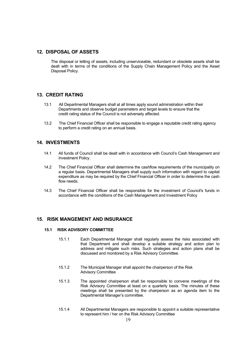# **12. DISPOSAL OF ASSETS**

The disposal or letting of assets, including unserviceable, redundant or obsolete assets shall be dealt with in terms of the conditions of the Supply Chain Management Policy and the Asset Disposal Policy.

# **13. CREDIT RATING**

- 13.1 All Departmental Managers shall at all times apply sound administration within their Departments and observe budget parameters and target levels to ensure that the credit rating status of the Council is not adversely affected.
- 13.2 The Chief Financial Officer shall be responsible to engage a reputable credit rating agency to perform a credit rating on an annual basis.

# **14. INVESTMENTS**

- 14.1 All funds of Council shall be dealt with in accordance with Council's Cash Management and Investment Policy.
- 14.2 The Chief Financial Officer shall determine the cashflow requirements of the municipality on a regular basis. Departmental Managers shall supply such information with regard to capital expenditure as may be required by the Chief Financial Officer in order to determine the cash flow needs.
- 14.3 The Chief Financial Officer shall be responsible for the investment of Council's funds in accordance with the conditions of the Cash Management and Investment Policy

# **15. RISK MANGEMENT AND INSURANCE**

#### **15.1 RISK ADVISORY COMMITTEE**

- 15.1.1 Each Departmental Manager shall regularly assess the risks associated with that Department and shall develop a suitable strategy and action plan to address and mitigate such risks. Such strategies and action plans shall be discussed and monitored by a Risk Advisory Committee.
- 15.1.2 The Municipal Manager shall appoint the chairperson of the Risk Advisory Committee
- 15.1.3 The appointed chairperson shall be responsible to convene meetings of the Risk Advisory Committee at least on a quarterly basis. The minutes of these meetings shall be presented by the chairperson as an agenda item to the Departmental Manager's committee.
- 15.1.4 All Departmental Managers are responsible to appoint a suitable representative to represent him / her on the Risk Advisory Committee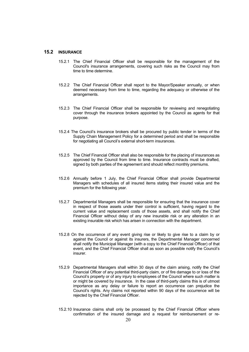## **15.2 INSURANCE**

- 15.2.1 The Chief Financial Officer shall be responsible for the management of the Council's insurance arrangements, covering such risks as the Council may from time to time determine.
- 15.2.2 The Chief Financial Officer shall report to the Mayor/Speaker annually, or when deemed necessary from time to time, regarding the adequacy or otherwise of the arrangements.
- 15.2.3 The Chief Financial Officer shall be responsible for reviewing and renegotiating cover through the insurance brokers appointed by the Council as agents for that purpose.
- 15.2.4 The Council's insurance brokers shall be procured by public tender in terms of the Supply Chain Management Policy for a determined period and shall be responsible for negotiating all Council's external short-term insurances.
- 15.2.5 The Chief Financial Officer shall also be responsible for the placing of insurances as approved by the Council from time to time. Insurance contracts must be drafted, signed by both parties of the agreement and should reflect monthly premiums.
- 15.2.6 Annually before 1 July, the Chief Financial Officer shall provide Departmental Managers with schedules of all insured items stating their insured value and the premium for the following year.
- 15.2.7 Departmental Managers shall be responsible for ensuring that the insurance cover in respect of those assets under their control is sufficient, having regard to the current value and replacement costs of those assets, and shall notify the Chief Financial Officer without delay of any new insurable risk or any alteration in an existing insurable risk which has arisen in connection with the department.
- 15.2.8 On the occurrence of any event giving rise or likely to give rise to a claim by or against the Council or against its insurers, the Departmental Manager concerned shall notify the Municipal Manager (with a copy to the Chief Financial Officer) of that event, and the Chief Financial Officer shall as soon as possible notify the Council's insurer.
- 15.2.9 Departmental Managers shall within 30 days of the claim arising, notify the Chief Financial Officer of any potential third-party claim, or of fire damage to or loss of the Council's property or of any injury to employees of the Council where such matter is or might be covered by insurance. In the case of third-party claims this is of utmost importance as any delay or failure to report an occurrence can prejudice the Council's rights. Any claims not reported within 90 days of the occurrence will be rejected by the Chief Financial Officer.
- 15.2.10 Insurance claims shall only be processed by the Chief Financial Officer where confirmation of the insured damage and a request for reimbursement or re-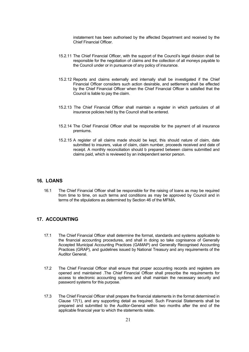instatement has been authorised by the affected Department and received by the Chief Financial Officer.

- 15.2.11 The Chief Financial Officer, with the support of the Council's legal division shall be responsible for the negotiation of claims and the collection of all moneys payable to the Council under or in pursuance of any policy of insurance.
- 15.2.12 Reports and claims externally and internally shall be investigated if the Chief Financial Officer considers such action desirable, and settlement shall be effected by the Chief Financial Officer when the Chief Financial Officer is satisfied that the Council is liable to pay the claim.
- 15.2.13 The Chief Financial Officer shall maintain a register in which particulars of all insurance policies held by the Council shall be entered.
- 15.2.14 The Chief Financial Officer shall be responsible for the payment of all insurance premiums.
- 15.2.15 A register of all claims made should be kept, this should nature of claim, date submitted to insurers, value of claim, claim number, proceeds received and date of receipt. A monthly reconciliation should b prepared between claims submitted and claims paid, which is reviewed by an independent senior person.

## **16. LOANS**

16.1 The Chief Financial Officer shall be responsible for the raising of loans as may be required from time to time, on such terms and conditions as may be approved by Council and in terms of the stipulations as determined by Section 46 of the MFMA.

# **17. ACCOUNTING**

- 17.1 The Chief Financial Officer shall determine the format, standards and systems applicable to the financial accounting procedures, and shall in doing so take cognisance of Generally Accepted Municipal Accounting Practices (GAMAP) and Generally Recognised Accounting Practices (GRAP), and guidelines issued by National Treasury and any requirements of the Auditor General.
- 17.2 The Chief Financial Officer shall ensure that proper accounting records and registers are opened and maintained .The Chief Financial Officer shall prescribe the requirements for access to electronic accounting systems and shall maintain the necessary security and password systems for this purpose.
- 17.3 The Chief Financial Officer shall prepare the financial statements in the format determined in Clause 17(1), and any supporting detail as required. Such Financial Statements shall be prepared and submitted to the Auditor-General within two months after the end of the applicable financial year to which the statements relate.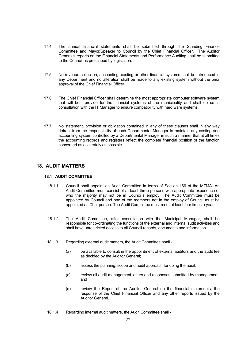- 17.4 The annual financial statements shall be submitted through the Standing Finance Committee and Mayor/Speaker to Council by the Chief Financial Officer. The Auditor General's reports on the Financial Statements and Performance Auditing shall be submitted to the Council as prescribed by legislation.
- 17.5 No revenue collection, accounting, costing or other financial systems shall be introduced in any Department and no alteration shall be made to any existing system without the prior approval of the Chief Financial Officer.
- 17.6 The Chief Financial Officer shall determine the most appropriate computer software system that will best provide for the financial systems of the municipality and shall do so in consultation with the IT Manager to ensure compatibility with hard ware systems.
- 17.7 No statement, provision or obligation contained in any of these clauses shall in any way detract from the responsibility of each Departmental Manager to maintain any costing and accounting system controlled by a Departmental Manager in such a manner that at all times the accounting records and registers reflect the complete financial position of the function concerned as accurately as possible.

# **18. AUDIT MATTERS**

# **18.1 AUDIT COMMITTEE**

- 18.1.1 Council shall appoint an Audit Committee in terms of Section 166 of the MFMA. An Audit Committee must consist of at least three persons with appropriate experience of who the majority may not be in Council's employ. The Audit Committee must be appointed by Council and one of the members not in the employ of Council must be appointed as Chairperson. The Audit Committee must meet at least four times a year.
- 18.1.2 The Audit Committee, after consultation with the Municipal Manager, shall be responsible for co-ordinating the functions of the external and internal audit activities and shall have unrestricted access to all Council records, documents and information.
- 18.1.3 Regarding external audit matters, the Audit Committee shall
	- (a) be available to consult in the appointment of external auditors and the audit fee as decided by the Auditor General;
	- (b) assess the planning, scope and audit approach for doing the audit;
	- (c) review all audit management letters and responses submitted by management; and
	- (d) review the Report of the Auditor General on the financial statements, the response of the Chief Financial Officer and any other reports issued by the Auditor General.
- 18.1.4 Regarding internal audit matters, the Audit Committee shall -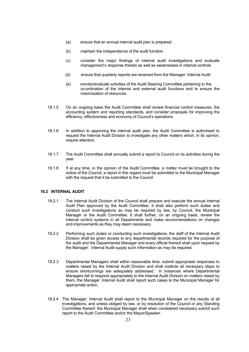- (a) ensure that an annual internal audit plan is prepared;
- (b) maintain the independence of the audit function
- (c) consider the major findings of internal audit investigations and evaluate management's response thereto as well as weaknesses in internal controls
- (d) ensure that quarterly reports are received from the Manager: Internal Audit
- (e) monitor/evaluate activities of the Audit Steering Committee pertaining to the co-ordination of the internal and external audit functions and to ensure the maximisation of resources.
- 18.1.5 On an ongoing basis the Audit Committee shall review financial control measures, the accounting system and reporting standards, and consider proposals for improving the efficiency, effectiveness and economy of Council's operations.
- 18.1.6 In addition to approving the internal audit plan, the Audit Committee is authorised to request the Internal Audit Division to investigate any other matters which, in its opinion, require attention.
- 18.1.7 The Audit Committee shall annually submit a report to Council on its activities during the year.
- 18.1.8 If at any time, in the opinion of the Audit Committee, a matter must be brought to the notice of the Council, a report in this regard must be submitted to the Municipal Manager with the request that it be submitted to the Council.

## **18.2 INTERNAL AUDIT**

- 18.2.1 The Internal Audit Division of the Council shall prepare and execute the annual internal Audit Plan approved by the Audit Committee. It shall also perform such duties and conduct such investigations as may be required by law, by Council, the Municipal Manager or the Audit Committee. It shall further, on an ongoing basis, review the internal control systems in all Departments and make recommendations on changes and improvements as they may deem necessary.
- 18.2.2 Performing such duties or conducting such investigations, the staff of the Internal Audit Division shall be given access to any departmental records required for the purpose of the audit and the Departmental Manager and every official thereof shall upon request by the Manager: Internal Audit supply such information as may be required.
- 18.2.3 Departmental Managers shall within reasonable time, submit appropriate responses to matters raised by the Internal Audit Division and shall institute all necessary steps to ensure shortcomings are adequately addressed. In instances where Departmental Managers fail to respond appropriately to the Internal Audit Division on matters raised by them, the Manager: Internal Audit shall report such cases to the Municipal Manager for appropriate action.
- 18.2.4 The Manager: Internal Audit shall report to the Municipal Manager on the results of all investigations, and unless obliged by law, or by resolution of the Council or any Standing Committee thereof, the Municipal Manager shall when considered necessary submit such report to the Audit Committee and/or the Mayor/Speaker.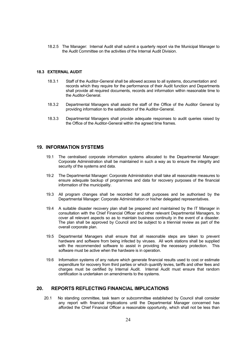18.2.5 The Manager: Internal Audit shall submit a quarterly report via the Municipal Manager to the Audit Committee on the activities of the Internal Audit Division.

## **18.3 EXTERNAL AUDIT**

- 18.3.1 Staff of the Auditor-General shall be allowed access to all systems, documentation and records which they require for the performance of their Audit function and Departments shall provide all required documents, records and information within reasonable time to the Auditor-General.
- 18.3.2 Departmental Managers shall assist the staff of the Office of the Auditor General by providing information to the satisfaction of the Auditor-General.
- 18.3.3 Departmental Managers shall provide adequate responses to audit queries raised by the Office of the Auditor-General within the agreed time frames.

## **19. INFORMATION SYSTEMS**

- 19.1 The centralised corporate information systems allocated to the Departmental Manager: Corporate Administration shall be maintained in such a way as to ensure the integrity and security of the systems and data.
- 19.2 The Departmental Manager: Corporate Administration shall take all reasonable measures to ensure adequate backup of programmes and data for recovery purposes of the financial information of the municipality.
- 19.3 All program changes shall be recorded for audit purposes and be authorised by the Departmental Manager: Corporate Administration or his/her delegated representatives.
- 19.4 A suitable disaster recovery plan shall be prepared and maintained by the IT Manager in consultation with the Chief Financial Officer and other relevant Departmental Managers, to cover all relevant aspects so as to maintain business continuity in the event of a disaster. The plan shall be approved by Council and be subject to a triennial review as part of the overall corporate plan.
- 19.5 Departmental Managers shall ensure that all reasonable steps are taken to prevent hardware and software from being infected by viruses. All work stations shall be supplied with the recommended software to assist in providing the necessary protection. This software must be active when the hardware is in operation.
- 19.6 Information systems of any nature which generate financial results used to cost or estimate expenditure for recovery from third parties or which quantify levies, tariffs and other fees and charges must be certified by Internal Audit. Internal Audit must ensure that random certification is undertaken on amendments to the systems.

# **20. REPORTS REFLECTING FINANCIAL IMPLICATIONS**

20.1 No standing committee, task team or subcommittee established by Council shall consider any report with financial implications until the Departmental Manager concerned has afforded the Chief Financial Officer a reasonable opportunity, which shall not be less than